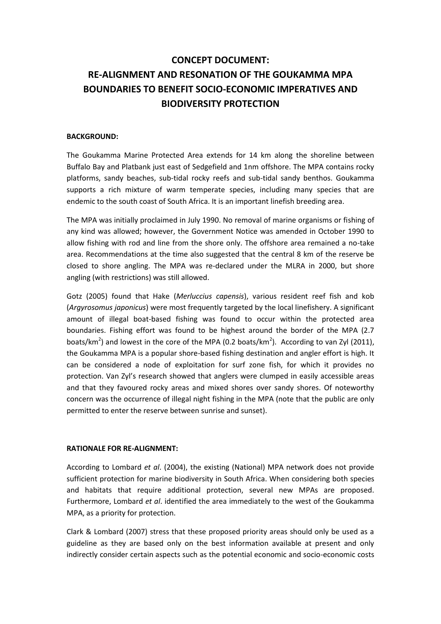# **CONCEPT DOCUMENT: RE-ALIGNMENT AND RESONATION OF THE GOUKAMMA MPA BOUNDARIES TO BENEFIT SOCIO-ECONOMIC IMPERATIVES AND BIODIVERSITY PROTECTION**

## **BACKGROUND:**

The Goukamma Marine Protected Area extends for 14 km along the shoreline between Buffalo Bay and Platbank just east of Sedgefield and 1nm offshore. The MPA contains rocky platforms, sandy beaches, sub-tidal rocky reefs and sub-tidal sandy benthos. Goukamma supports a rich mixture of warm temperate species, including many species that are endemic to the south coast of South Africa. It is an important linefish breeding area.

The MPA was initially proclaimed in July 1990. No removal of marine organisms or fishing of any kind was allowed; however, the Government Notice was amended in October 1990 to allow fishing with rod and line from the shore only. The offshore area remained a no-take area. Recommendations at the time also suggested that the central 8 km of the reserve be closed to shore angling. The MPA was re-declared under the MLRA in 2000, but shore angling (with restrictions) was still allowed.

Gotz (2005) found that Hake (*Merluccius capensis*), various resident reef fish and kob (*Argyrosomus japonicus*) were most frequently targeted by the local linefishery. A significant amount of illegal boat-based fishing was found to occur within the protected area boundaries. Fishing effort was found to be highest around the border of the MPA (2.7 boats/km<sup>2</sup>) and lowest in the core of the MPA (0.2 boats/km<sup>2</sup>). According to van Zyl (2011), the Goukamma MPA is a popular shore-based fishing destination and angler effort is high. It can be considered a node of exploitation for surf zone fish, for which it provides no protection. Van Zyl's research showed that anglers were clumped in easily accessible areas and that they favoured rocky areas and mixed shores over sandy shores. Of noteworthy concern was the occurrence of illegal night fishing in the MPA (note that the public are only permitted to enter the reserve between sunrise and sunset).

## **RATIONALE FOR RE-ALIGNMENT:**

According to Lombard *et al*. (2004), the existing (National) MPA network does not provide sufficient protection for marine biodiversity in South Africa. When considering both species and habitats that require additional protection, several new MPAs are proposed. Furthermore, Lombard *et al*. identified the area immediately to the west of the Goukamma MPA, as a priority for protection.

Clark & Lombard (2007) stress that these proposed priority areas should only be used as a guideline as they are based only on the best information available at present and only indirectly consider certain aspects such as the potential economic and socio-economic costs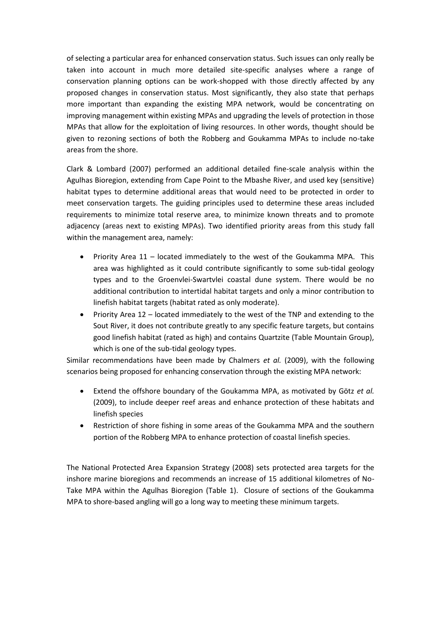of selecting a particular area for enhanced conservation status. Such issues can only really be taken into account in much more detailed site-specific analyses where a range of conservation planning options can be work-shopped with those directly affected by any proposed changes in conservation status. Most significantly, they also state that perhaps more important than expanding the existing MPA network, would be concentrating on improving management within existing MPAs and upgrading the levels of protection in those MPAs that allow for the exploitation of living resources. In other words, thought should be given to rezoning sections of both the Robberg and Goukamma MPAs to include no-take areas from the shore.

Clark & Lombard (2007) performed an additional detailed fine-scale analysis within the Agulhas Bioregion, extending from Cape Point to the Mbashe River, and used key (sensitive) habitat types to determine additional areas that would need to be protected in order to meet conservation targets. The guiding principles used to determine these areas included requirements to minimize total reserve area, to minimize known threats and to promote adjacency (areas next to existing MPAs). Two identified priority areas from this study fall within the management area, namely:

- Priority Area 11 located immediately to the west of the Goukamma MPA. This area was highlighted as it could contribute significantly to some sub-tidal geology types and to the Groenvlei-Swartvlei coastal dune system. There would be no additional contribution to intertidal habitat targets and only a minor contribution to linefish habitat targets (habitat rated as only moderate).
- Priority Area 12 located immediately to the west of the TNP and extending to the Sout River, it does not contribute greatly to any specific feature targets, but contains good linefish habitat (rated as high) and contains Quartzite (Table Mountain Group), which is one of the sub-tidal geology types.

Similar recommendations have been made by Chalmers *et al.* (2009), with the following scenarios being proposed for enhancing conservation through the existing MPA network:

- Extend the offshore boundary of the Goukamma MPA, as motivated by Götz *et al.*  (2009), to include deeper reef areas and enhance protection of these habitats and linefish species
- Restriction of shore fishing in some areas of the Goukamma MPA and the southern portion of the Robberg MPA to enhance protection of coastal linefish species.

The National Protected Area Expansion Strategy (2008) sets protected area targets for the inshore marine bioregions and recommends an increase of 15 additional kilometres of No-Take MPA within the Agulhas Bioregion (Table 1). Closure of sections of the Goukamma MPA to shore-based angling will go a long way to meeting these minimum targets.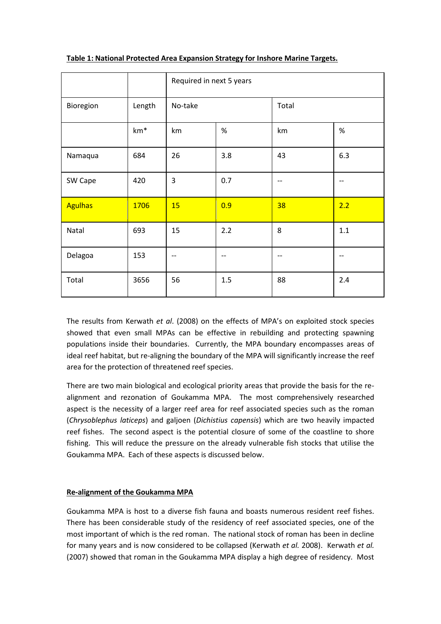|                |        | Required in next 5 years |      |       |     |
|----------------|--------|--------------------------|------|-------|-----|
| Bioregion      | Length | No-take                  |      | Total |     |
|                | $km*$  | km                       | $\%$ | km    | %   |
| Namaqua        | 684    | 26                       | 3.8  | 43    | 6.3 |
| SW Cape        | 420    | 3                        | 0.7  | $-$   |     |
| <b>Agulhas</b> | 1706   | 15                       | 0.9  | 38    | 2.2 |
| Natal          | 693    | 15                       | 2.2  | 8     | 1.1 |
| Delagoa        | 153    | --                       | --   | --    | --  |
| Total          | 3656   | 56                       | 1.5  | 88    | 2.4 |

## **Table 1: National Protected Area Expansion Strategy for Inshore Marine Targets.**

The results from Kerwath *et al*. (2008) on the effects of MPA's on exploited stock species showed that even small MPAs can be effective in rebuilding and protecting spawning populations inside their boundaries. Currently, the MPA boundary encompasses areas of ideal reef habitat, but re-aligning the boundary of the MPA will significantly increase the reef area for the protection of threatened reef species.

There are two main biological and ecological priority areas that provide the basis for the realignment and rezonation of Goukamma MPA. The most comprehensively researched aspect is the necessity of a larger reef area for reef associated species such as the roman (*Chrysoblephus laticeps*) and galjoen (*Dichistius capensis*) which are two heavily impacted reef fishes. The second aspect is the potential closure of some of the coastline to shore fishing. This will reduce the pressure on the already vulnerable fish stocks that utilise the Goukamma MPA. Each of these aspects is discussed below.

# **Re-alignment of the Goukamma MPA**

Goukamma MPA is host to a diverse fish fauna and boasts numerous resident reef fishes. There has been considerable study of the residency of reef associated species, one of the most important of which is the red roman. The national stock of roman has been in decline for many years and is now considered to be collapsed (Kerwath *et al.* 2008). Kerwath *et al.* (2007) showed that roman in the Goukamma MPA display a high degree of residency. Most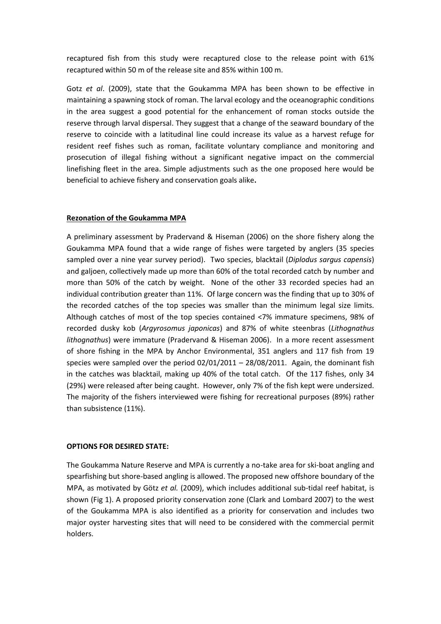recaptured fish from this study were recaptured close to the release point with 61% recaptured within 50 m of the release site and 85% within 100 m.

Gotz *et al*. (2009), state that the Goukamma MPA has been shown to be effective in maintaining a spawning stock of roman. The larval ecology and the oceanographic conditions in the area suggest a good potential for the enhancement of roman stocks outside the reserve through larval dispersal. They suggest that a change of the seaward boundary of the reserve to coincide with a latitudinal line could increase its value as a harvest refuge for resident reef fishes such as roman, facilitate voluntary compliance and monitoring and prosecution of illegal fishing without a significant negative impact on the commercial linefishing fleet in the area. Simple adjustments such as the one proposed here would be beneficial to achieve fishery and conservation goals alike**.**

### **Rezonation of the Goukamma MPA**

A preliminary assessment by Pradervand & Hiseman (2006) on the shore fishery along the Goukamma MPA found that a wide range of fishes were targeted by anglers (35 species sampled over a nine year survey period). Two species, blacktail (*Diplodus sargus capensis*) and galjoen, collectively made up more than 60% of the total recorded catch by number and more than 50% of the catch by weight. None of the other 33 recorded species had an individual contribution greater than 11%. Of large concern was the finding that up to 30% of the recorded catches of the top species was smaller than the minimum legal size limits. Although catches of most of the top species contained <7% immature specimens, 98% of recorded dusky kob (*Argyrosomus japonicas*) and 87% of white steenbras (*Lithognathus lithognathus*) were immature (Pradervand & Hiseman 2006). In a more recent assessment of shore fishing in the MPA by Anchor Environmental, 351 anglers and 117 fish from 19 species were sampled over the period  $02/01/2011 - 28/08/2011$ . Again, the dominant fish in the catches was blacktail, making up 40% of the total catch. Of the 117 fishes, only 34 (29%) were released after being caught. However, only 7% of the fish kept were undersized. The majority of the fishers interviewed were fishing for recreational purposes (89%) rather than subsistence (11%).

#### **OPTIONS FOR DESIRED STATE:**

The Goukamma Nature Reserve and MPA is currently a no-take area for ski-boat angling and spearfishing but shore-based angling is allowed. The proposed new offshore boundary of the MPA, as motivated by Götz *et al.* (2009), which includes additional sub-tidal reef habitat, is shown (Fig 1). A proposed priority conservation zone (Clark and Lombard 2007) to the west of the Goukamma MPA is also identified as a priority for conservation and includes two major oyster harvesting sites that will need to be considered with the commercial permit holders.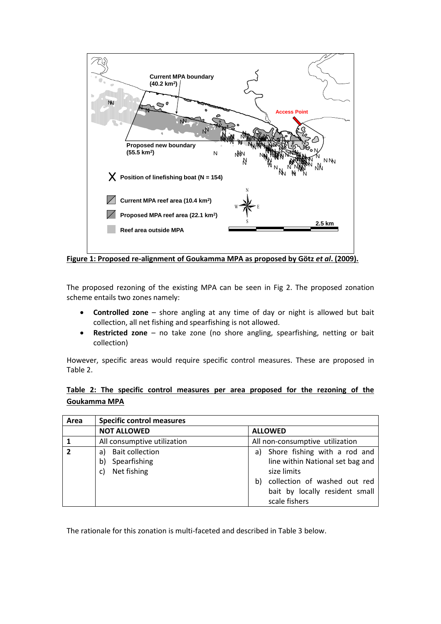

**Figure 1: Proposed re-alignment of Goukamma MPA as proposed by Götz** *et al***. (2009).**

The proposed rezoning of the existing MPA can be seen in Fig 2. The proposed zonation scheme entails two zones namely:

- **Controlled zone** shore angling at any time of day or night is allowed but bait collection, all net fishing and spearfishing is not allowed.
- **Restricted zone** no take zone (no shore angling, spearfishing, netting or bait collection)

However, specific areas would require specific control measures. These are proposed in Table 2.

# **Table 2: The specific control measures per area proposed for the rezoning of the Goukamma MPA**

| Area           | <b>Specific control measures</b>                              |                                                                                                                                                                                |
|----------------|---------------------------------------------------------------|--------------------------------------------------------------------------------------------------------------------------------------------------------------------------------|
|                | <b>NOT ALLOWED</b>                                            | <b>ALLOWED</b>                                                                                                                                                                 |
|                | All consumptive utilization                                   | All non-consumptive utilization                                                                                                                                                |
| $\overline{2}$ | a) Bait collection<br>Spearfishing<br>b)<br>Net fishing<br>c) | Shore fishing with a rod and<br>a)<br>line within National set bag and<br>size limits<br>collection of washed out red<br>b)<br>bait by locally resident small<br>scale fishers |

The rationale for this zonation is multi-faceted and described in Table 3 below.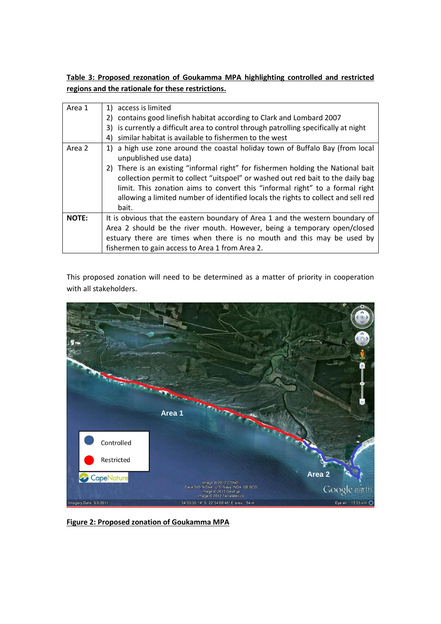**Table 3: Proposed rezonation of Goukamma MPA highlighting controlled and restricted regions and the rationale for these restrictions.**

| Area 1       | 1) access is limited                                                                 |  |  |  |  |
|--------------|--------------------------------------------------------------------------------------|--|--|--|--|
|              | 2) contains good linefish habitat according to Clark and Lombard 2007                |  |  |  |  |
|              | 3) is currently a difficult area to control through patrolling specifically at night |  |  |  |  |
|              | 4) similar habitat is available to fishermen to the west                             |  |  |  |  |
| Area 2       | 1) a high use zone around the coastal holiday town of Buffalo Bay (from local        |  |  |  |  |
|              | unpublished use data)                                                                |  |  |  |  |
|              | 2) There is an existing "informal right" for fishermen holding the National bait     |  |  |  |  |
|              | collection permit to collect "uitspoel" or washed out red bait to the daily bag      |  |  |  |  |
|              | limit. This zonation aims to convert this "informal right" to a formal right         |  |  |  |  |
|              | allowing a limited number of identified locals the rights to collect and sell red    |  |  |  |  |
|              | bait.                                                                                |  |  |  |  |
| <b>NOTE:</b> | It is obvious that the eastern boundary of Area 1 and the western boundary of        |  |  |  |  |
|              | Area 2 should be the river mouth. However, being a temporary open/closed             |  |  |  |  |
|              | estuary there are times when there is no mouth and this may be used by               |  |  |  |  |
|              | fishermen to gain access to Area 1 from Area 2.                                      |  |  |  |  |

This proposed zonation will need to be determined as a matter of priority in cooperation with all stakeholders.



**Figure 2: Proposed zonation of Goukamma MPA**